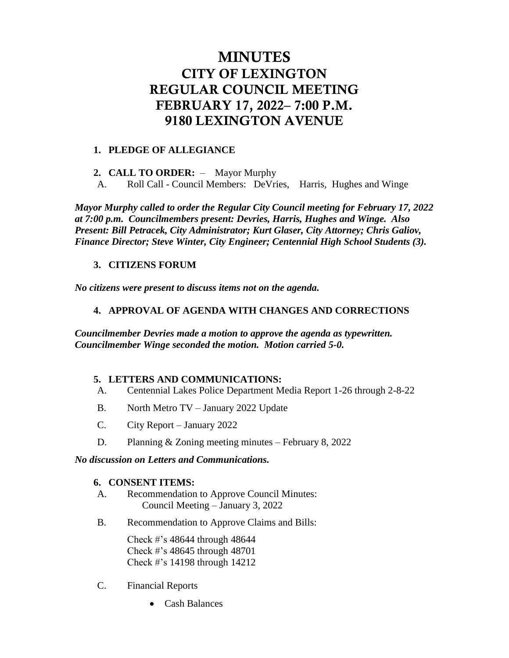## MINUTES CITY OF LEXINGTON REGULAR COUNCIL MEETING FEBRUARY 17, 2022– 7:00 P.M. 9180 LEXINGTON AVENUE

### **1. PLEDGE OF ALLEGIANCE**

**2. CALL TO ORDER:** – Mayor Murphy

A. Roll Call - Council Members: DeVries, Harris, Hughes and Winge

*Mayor Murphy called to order the Regular City Council meeting for February 17, 2022 at 7:00 p.m. Councilmembers present: Devries, Harris, Hughes and Winge. Also Present: Bill Petracek, City Administrator; Kurt Glaser, City Attorney; Chris Galiov, Finance Director; Steve Winter, City Engineer; Centennial High School Students (3).*

#### **3. CITIZENS FORUM**

*No citizens were present to discuss items not on the agenda.*

#### **4. APPROVAL OF AGENDA WITH CHANGES AND CORRECTIONS**

*Councilmember Devries made a motion to approve the agenda as typewritten. Councilmember Winge seconded the motion. Motion carried 5-0.* 

#### **5. LETTERS AND COMMUNICATIONS:**

- A. Centennial Lakes Police Department Media Report 1-26 through 2-8-22
- B. North Metro TV January 2022 Update
- C. City Report January 2022
- D. Planning & Zoning meeting minutes February 8, 2022

#### *No discussion on Letters and Communications.*

#### **6. CONSENT ITEMS:**

- A. Recommendation to Approve Council Minutes: Council Meeting – January 3, 2022
- B. Recommendation to Approve Claims and Bills:

Check #'s 48644 through 48644 Check #'s 48645 through 48701 Check #'s 14198 through 14212

- C. Financial Reports
	- Cash Balances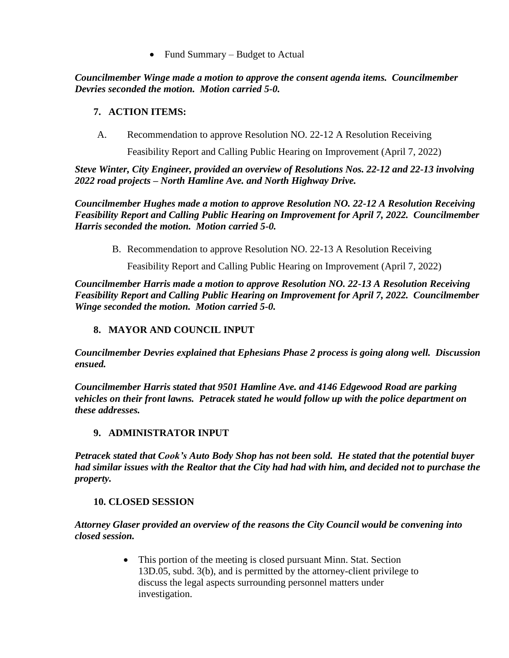Fund Summary – Budget to Actual

*Councilmember Winge made a motion to approve the consent agenda items. Councilmember Devries seconded the motion. Motion carried 5-0.*

## **7. ACTION ITEMS:**

A. Recommendation to approve Resolution NO. 22-12 A Resolution Receiving

Feasibility Report and Calling Public Hearing on Improvement (April 7, 2022)

*Steve Winter, City Engineer, provided an overview of Resolutions Nos. 22-12 and 22-13 involving 2022 road projects – North Hamline Ave. and North Highway Drive.* 

*Councilmember Hughes made a motion to approve Resolution NO. 22-12 A Resolution Receiving Feasibility Report and Calling Public Hearing on Improvement for April 7, 2022. Councilmember Harris seconded the motion. Motion carried 5-0.*

B. Recommendation to approve Resolution NO. 22-13 A Resolution Receiving

Feasibility Report and Calling Public Hearing on Improvement (April 7, 2022)

*Councilmember Harris made a motion to approve Resolution NO. 22-13 A Resolution Receiving Feasibility Report and Calling Public Hearing on Improvement for April 7, 2022. Councilmember Winge seconded the motion. Motion carried 5-0.* 

## **8. MAYOR AND COUNCIL INPUT**

*Councilmember Devries explained that Ephesians Phase 2 process is going along well. Discussion ensued.* 

*Councilmember Harris stated that 9501 Hamline Ave. and 4146 Edgewood Road are parking vehicles on their front lawns. Petracek stated he would follow up with the police department on these addresses.* 

## **9. ADMINISTRATOR INPUT**

*Petracek stated that Cook's Auto Body Shop has not been sold. He stated that the potential buyer had similar issues with the Realtor that the City had had with him, and decided not to purchase the property.* 

## **10. CLOSED SESSION**

*Attorney Glaser provided an overview of the reasons the City Council would be convening into closed session.*

> • This portion of the meeting is closed pursuant Minn. Stat. Section 13D.05, subd. 3(b), and is permitted by the attorney-client privilege to discuss the legal aspects surrounding personnel matters under investigation.